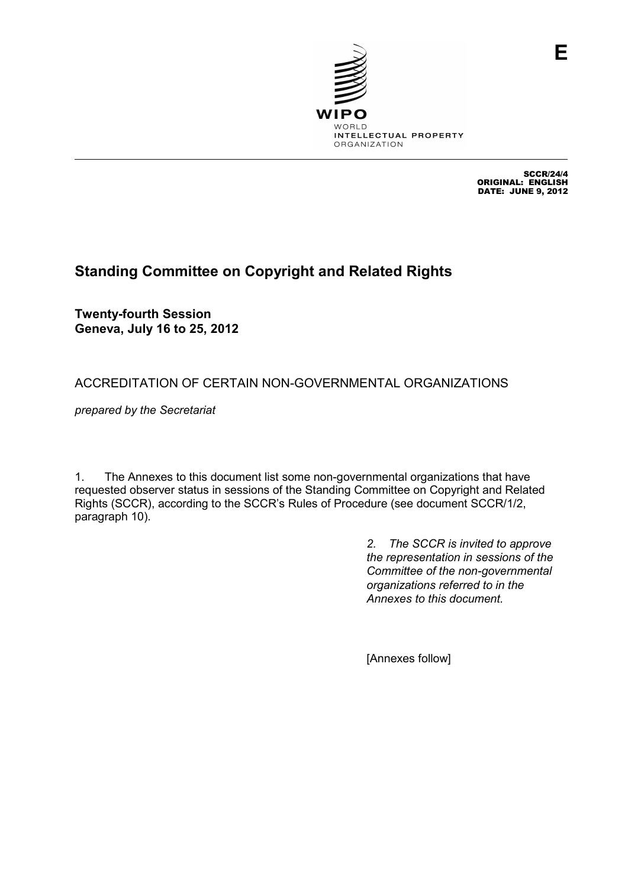

SCCR/24/4 ORIGINAL: ENGLISH DATE: JUNE 9, 2012

**E**

# **Standing Committee on Copyright and Related Rights**

**Twenty-fourth Session Geneva, July 16 to 25, 2012** 

# ACCREDITATION OF CERTAIN NON-GOVERNMENTAL ORGANIZATIONS

*prepared by the Secretariat* 

1. The Annexes to this document list some non-governmental organizations that have requested observer status in sessions of the Standing Committee on Copyright and Related Rights (SCCR), according to the SCCR's Rules of Procedure (see document SCCR/1/2, paragraph 10).

> *2. The SCCR is invited to approve the representation in sessions of the Committee of the non-governmental organizations referred to in the Annexes to this document.*

[Annexes follow]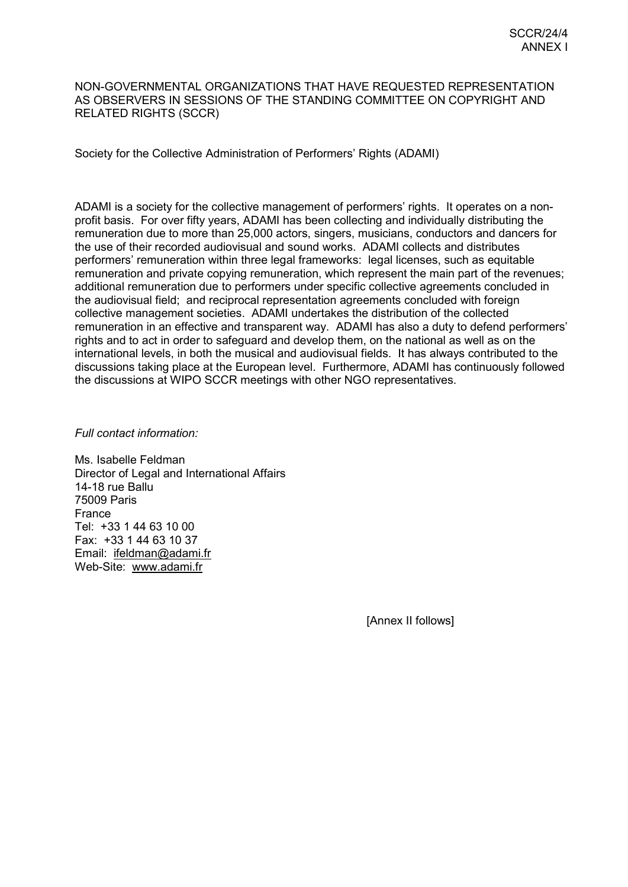# NON-GOVERNMENTAL ORGANIZATIONS THAT HAVE REQUESTED REPRESENTATION AS OBSERVERS IN SESSIONS OF THE STANDING COMMITTEE ON COPYRIGHT AND RELATED RIGHTS (SCCR)

Society for the Collective Administration of Performers' Rights (ADAMI)

ADAMI is a society for the collective management of performers' rights. It operates on a nonprofit basis. For over fifty years, ADAMI has been collecting and individually distributing the remuneration due to more than 25,000 actors, singers, musicians, conductors and dancers for the use of their recorded audiovisual and sound works. ADAMI collects and distributes performers' remuneration within three legal frameworks: legal licenses, such as equitable remuneration and private copying remuneration, which represent the main part of the revenues; additional remuneration due to performers under specific collective agreements concluded in the audiovisual field; and reciprocal representation agreements concluded with foreign collective management societies. ADAMI undertakes the distribution of the collected remuneration in an effective and transparent way. ADAMI has also a duty to defend performers' rights and to act in order to safeguard and develop them, on the national as well as on the international levels, in both the musical and audiovisual fields. It has always contributed to the discussions taking place at the European level. Furthermore, ADAMI has continuously followed the discussions at WIPO SCCR meetings with other NGO representatives.

# *Full contact information:*

Ms. Isabelle Feldman Director of Legal and International Affairs 14-18 rue Ballu 75009 Paris France Tel: +33 1 44 63 10 00 Fax: +33 1 44 63 10 37 Email: ifeldman@adami.fr Web-Site: www.adami.fr

[Annex II follows]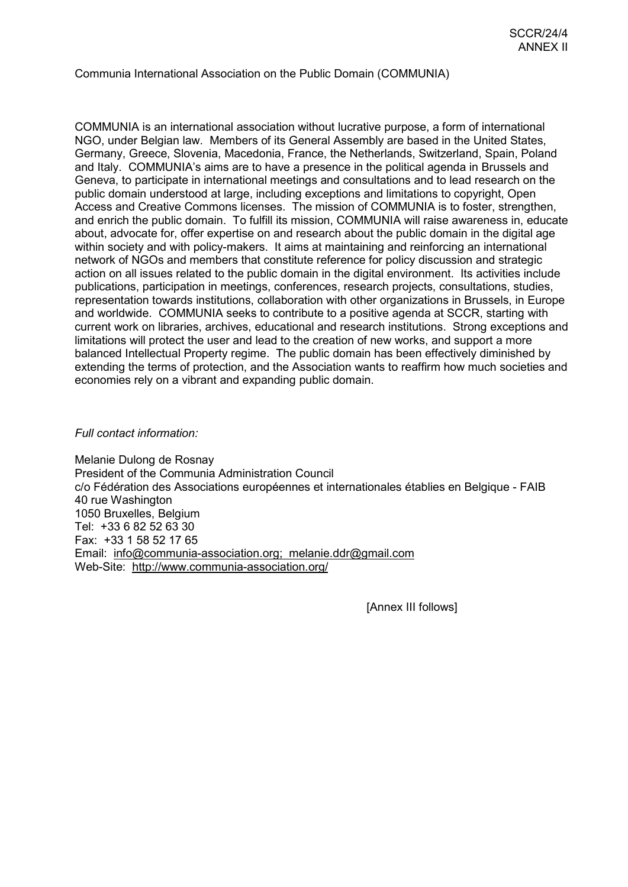#### Communia International Association on the Public Domain (COMMUNIA)

COMMUNIA is an international association without lucrative purpose, a form of international NGO, under Belgian law. Members of its General Assembly are based in the United States, Germany, Greece, Slovenia, Macedonia, France, the Netherlands, Switzerland, Spain, Poland and Italy. COMMUNIA's aims are to have a presence in the political agenda in Brussels and Geneva, to participate in international meetings and consultations and to lead research on the public domain understood at large, including exceptions and limitations to copyright, Open Access and Creative Commons licenses. The mission of COMMUNIA is to foster, strengthen, and enrich the public domain. To fulfill its mission, COMMUNIA will raise awareness in, educate about, advocate for, offer expertise on and research about the public domain in the digital age within society and with policy-makers. It aims at maintaining and reinforcing an international network of NGOs and members that constitute reference for policy discussion and strategic action on all issues related to the public domain in the digital environment. Its activities include publications, participation in meetings, conferences, research projects, consultations, studies, representation towards institutions, collaboration with other organizations in Brussels, in Europe and worldwide. COMMUNIA seeks to contribute to a positive agenda at SCCR, starting with current work on libraries, archives, educational and research institutions. Strong exceptions and limitations will protect the user and lead to the creation of new works, and support a more balanced Intellectual Property regime. The public domain has been effectively diminished by extending the terms of protection, and the Association wants to reaffirm how much societies and economies rely on a vibrant and expanding public domain.

#### *Full contact information:*

Melanie Dulong de Rosnay President of the Communia Administration Council c/o Fédération des Associations européennes et internationales établies en Belgique - FAIB 40 rue Washington 1050 Bruxelles, Belgium Tel: +33 6 82 52 63 30 Fax: +33 1 58 52 17 65 Email: info@communia-association.org; melanie.ddr@gmail.com Web-Site: http://www.communia-association.org/

[Annex III follows]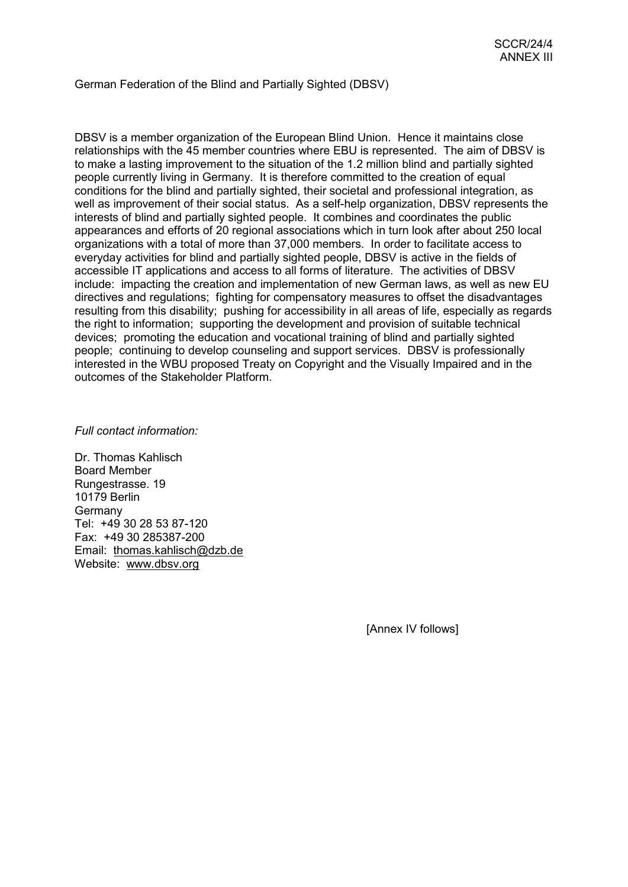# German Federation of the Blind and Partially Sighted (DBSV)

DBSV is a member organization of the European Blind Union. Hence it maintains close relationships with the 45 member countries where EBU is represented. The aim of DBSV is to make a lasting improvement to the situation of the 1.2 million blind and partially sighted people currently living in Germany. It is therefore committed to the creation of equal conditions for the blind and partially sighted, their societal and professional integration, as well as improvement of their social status. As a self-help organization, DBSV represents the interests of blind and partially sighted people. It combines and coordinates the public appearances and efforts of 20 regional associations which in turn look after about 250 local organizations with a total of more than 37,000 members. In order to facilitate access to everyday activities for blind and partially sighted people, DBSV is active in the fields of accessible IT applications and access to all forms of literature. The activities of DBSV include: impacting the creation and implementation of new German laws, as well as new EU directives and regulations; fighting for compensatory measures to offset the disadvantages resulting from this disability; pushing for accessibility in all areas of life, especially as regards the right to information; supporting the development and provision of suitable technical devices; promoting the education and vocational training of blind and partially sighted people; continuing to develop counseling and support services. DBSV is professionally interested in the WBU proposed Treaty on Copyright and the Visually Impaired and in the outcomes of the Stakeholder Platform.

#### *Full contact information:*

Dr. Thomas Kahlisch Board Member Rungestrasse. 19 10179 Berlin Germany Tel: +49 30 28 53 87-120 Fax: +49 30 285387-200 Email: thomas.kahlisch@dzb.de Website: www.dbsv.org

[Annex IV follows]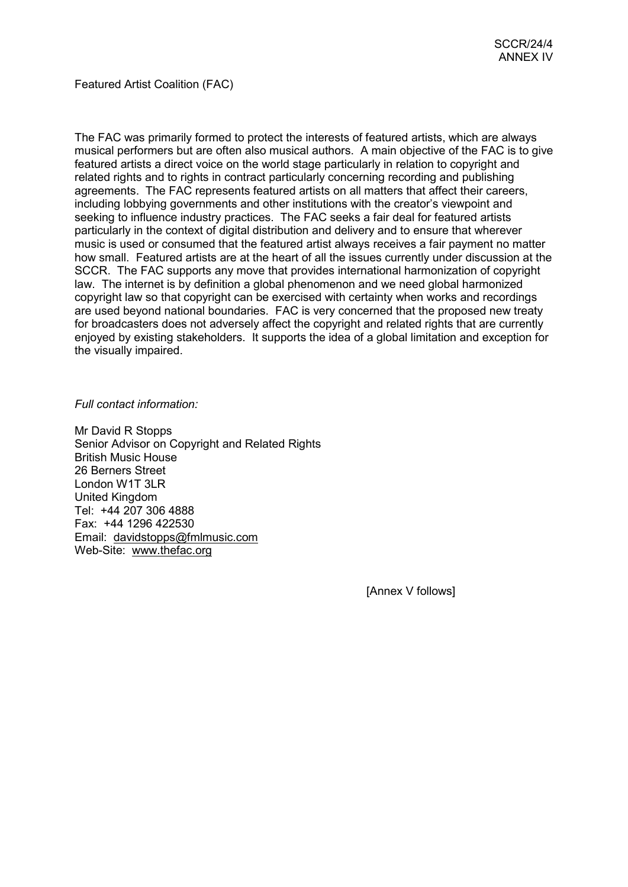Featured Artist Coalition (FAC)

The FAC was primarily formed to protect the interests of featured artists, which are always musical performers but are often also musical authors. A main objective of the FAC is to give featured artists a direct voice on the world stage particularly in relation to copyright and related rights and to rights in contract particularly concerning recording and publishing agreements. The FAC represents featured artists on all matters that affect their careers, including lobbying governments and other institutions with the creator's viewpoint and seeking to influence industry practices. The FAC seeks a fair deal for featured artists particularly in the context of digital distribution and delivery and to ensure that wherever music is used or consumed that the featured artist always receives a fair payment no matter how small. Featured artists are at the heart of all the issues currently under discussion at the SCCR. The FAC supports any move that provides international harmonization of copyright law. The internet is by definition a global phenomenon and we need global harmonized copyright law so that copyright can be exercised with certainty when works and recordings are used beyond national boundaries. FAC is very concerned that the proposed new treaty for broadcasters does not adversely affect the copyright and related rights that are currently enjoyed by existing stakeholders. It supports the idea of a global limitation and exception for the visually impaired.

*Full contact information:* 

Mr David R Stopps Senior Advisor on Copyright and Related Rights British Music House 26 Berners Street London W1T 3LR United Kingdom Tel: +44 207 306 4888 Fax: +44 1296 422530 Email: davidstopps@fmlmusic.com Web-Site: www.thefac.org

[Annex V follows]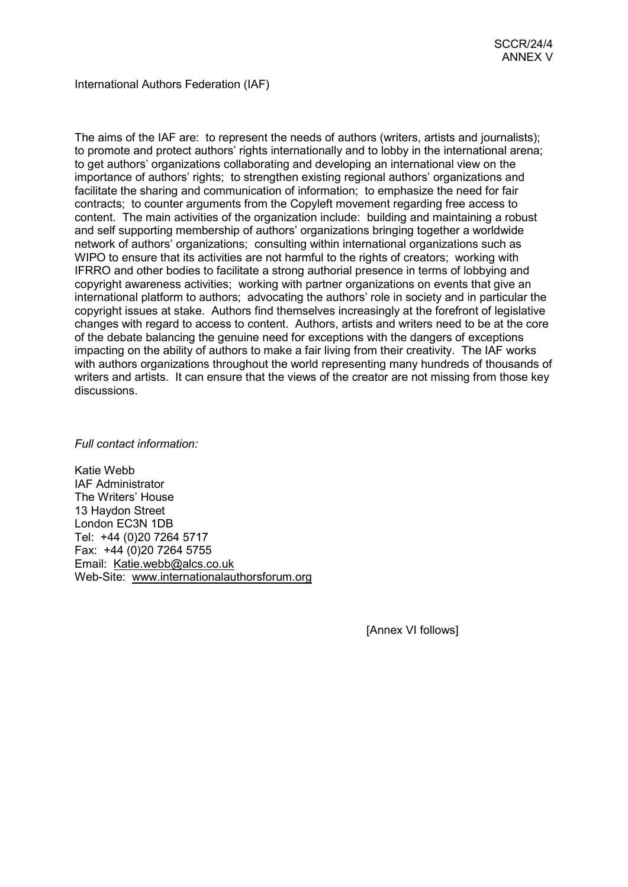International Authors Federation (IAF)

The aims of the IAF are: to represent the needs of authors (writers, artists and journalists); to promote and protect authors' rights internationally and to lobby in the international arena; to get authors' organizations collaborating and developing an international view on the importance of authors' rights; to strengthen existing regional authors' organizations and facilitate the sharing and communication of information; to emphasize the need for fair contracts; to counter arguments from the Copyleft movement regarding free access to content. The main activities of the organization include: building and maintaining a robust and self supporting membership of authors' organizations bringing together a worldwide network of authors' organizations; consulting within international organizations such as WIPO to ensure that its activities are not harmful to the rights of creators; working with IFRRO and other bodies to facilitate a strong authorial presence in terms of lobbying and copyright awareness activities; working with partner organizations on events that give an international platform to authors; advocating the authors' role in society and in particular the copyright issues at stake. Authors find themselves increasingly at the forefront of legislative changes with regard to access to content. Authors, artists and writers need to be at the core of the debate balancing the genuine need for exceptions with the dangers of exceptions impacting on the ability of authors to make a fair living from their creativity. The IAF works with authors organizations throughout the world representing many hundreds of thousands of writers and artists. It can ensure that the views of the creator are not missing from those key discussions.

#### *Full contact information:*

Katie Webb IAF Administrator The Writers' House 13 Haydon Street London EC3N 1DB Tel: +44 (0)20 7264 5717 Fax: +44 (0)20 7264 5755 Email: Katie.webb@alcs.co.uk Web-Site: www.internationalauthorsforum.org

[Annex VI follows]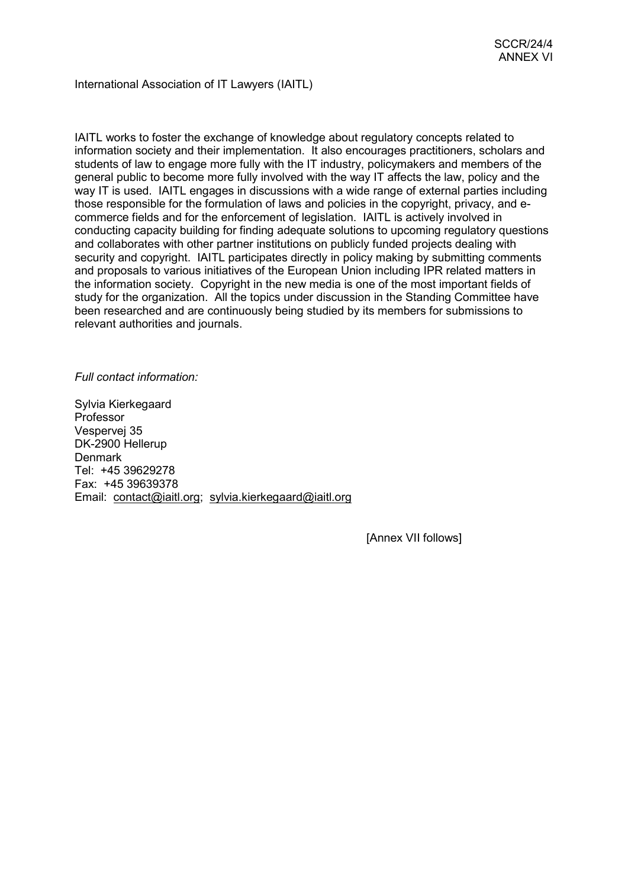# International Association of IT Lawyers (IAITL)

IAITL works to foster the exchange of knowledge about regulatory concepts related to information society and their implementation. It also encourages practitioners, scholars and students of law to engage more fully with the IT industry, policymakers and members of the general public to become more fully involved with the way IT affects the law, policy and the way IT is used. IAITL engages in discussions with a wide range of external parties including those responsible for the formulation of laws and policies in the copyright, privacy, and ecommerce fields and for the enforcement of legislation. IAITL is actively involved in conducting capacity building for finding adequate solutions to upcoming regulatory questions and collaborates with other partner institutions on publicly funded projects dealing with security and copyright. IAITL participates directly in policy making by submitting comments and proposals to various initiatives of the European Union including IPR related matters in the information society. Copyright in the new media is one of the most important fields of study for the organization. All the topics under discussion in the Standing Committee have been researched and are continuously being studied by its members for submissions to relevant authorities and journals.

*Full contact information:* 

Sylvia Kierkegaard Professor Vespervej 35 DK-2900 Hellerup Denmark Tel: +45 39629278 Fax: +45 39639378 Email: contact@iaitl.org; sylvia.kierkegaard@iaitl.org

[Annex VII follows]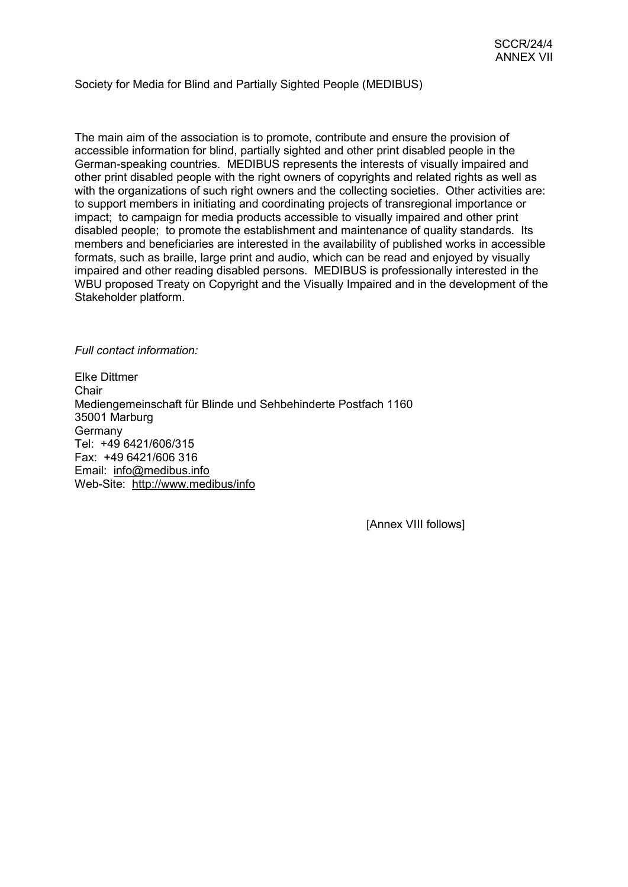Society for Media for Blind and Partially Sighted People (MEDIBUS)

The main aim of the association is to promote, contribute and ensure the provision of accessible information for blind, partially sighted and other print disabled people in the German-speaking countries. MEDIBUS represents the interests of visually impaired and other print disabled people with the right owners of copyrights and related rights as well as with the organizations of such right owners and the collecting societies. Other activities are: to support members in initiating and coordinating projects of transregional importance or impact; to campaign for media products accessible to visually impaired and other print disabled people; to promote the establishment and maintenance of quality standards. Its members and beneficiaries are interested in the availability of published works in accessible formats, such as braille, large print and audio, which can be read and enjoyed by visually impaired and other reading disabled persons. MEDIBUS is professionally interested in the WBU proposed Treaty on Copyright and the Visually Impaired and in the development of the Stakeholder platform.

*Full contact information:*

Elke Dittmer **Chair** Mediengemeinschaft für Blinde und Sehbehinderte Postfach 1160 35001 Marburg **Germany** Tel: +49 6421/606/315 Fax: +49 6421/606 316 Email: info@medibus.info Web-Site: http://www.medibus/info

[Annex VIII follows]